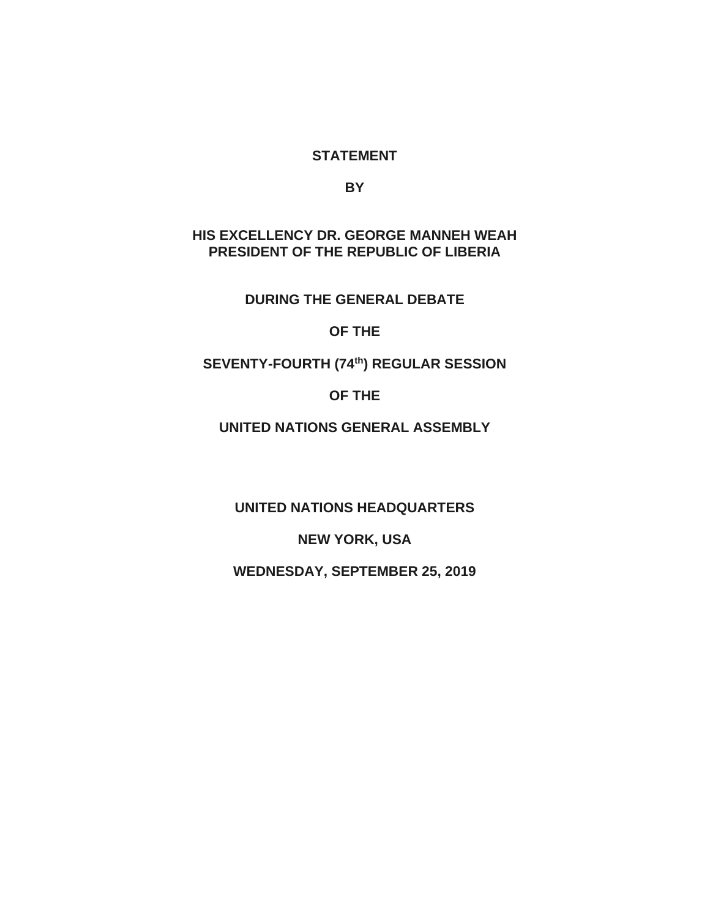### **STATEMENT**

**BY**

#### **HIS EXCELLENCY DR. GEORGE MANNEH WEAH PRESIDENT OF THE REPUBLIC OF LIBERIA**

**DURING THE GENERAL DEBATE**

**OF THE**

**SEVENTY-FOURTH (74th) REGULAR SESSION**

**OF THE**

**UNITED NATIONS GENERAL ASSEMBLY**

**UNITED NATIONS HEADQUARTERS**

**NEW YORK, USA**

**WEDNESDAY, SEPTEMBER 25, 2019**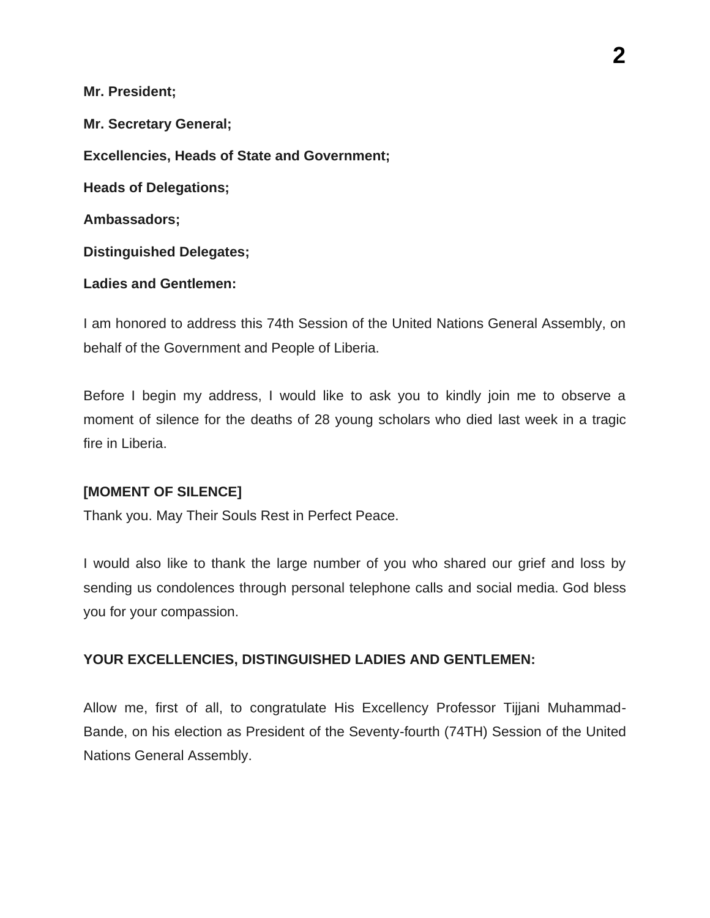**Mr. President;**

**Mr. Secretary General; Excellencies, Heads of State and Government; Heads of Delegations; Ambassadors; Distinguished Delegates;**

#### **Ladies and Gentlemen:**

I am honored to address this 74th Session of the United Nations General Assembly, on behalf of the Government and People of Liberia.

Before I begin my address, I would like to ask you to kindly join me to observe a moment of silence for the deaths of 28 young scholars who died last week in a tragic fire in Liberia.

### **[MOMENT OF SILENCE]**

Thank you. May Their Souls Rest in Perfect Peace.

I would also like to thank the large number of you who shared our grief and loss by sending us condolences through personal telephone calls and social media. God bless you for your compassion.

### **YOUR EXCELLENCIES, DISTINGUISHED LADIES AND GENTLEMEN:**

Allow me, first of all, to congratulate His Excellency Professor Tijjani Muhammad-Bande, on his election as President of the Seventy-fourth (74TH) Session of the United Nations General Assembly.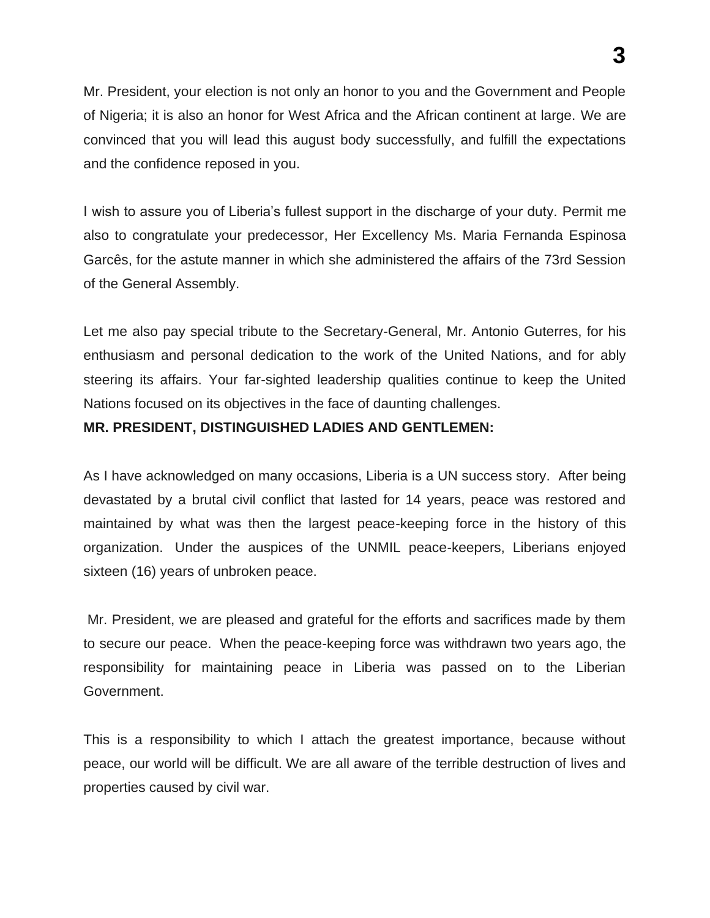**3**

Mr. President, your election is not only an honor to you and the Government and People of Nigeria; it is also an honor for West Africa and the African continent at large. We are convinced that you will lead this august body successfully, and fulfill the expectations and the confidence reposed in you.

I wish to assure you of Liberia's fullest support in the discharge of your duty. Permit me also to congratulate your predecessor, Her Excellency Ms. Maria Fernanda Espinosa Garcês, for the astute manner in which she administered the affairs of the 73rd Session of the General Assembly.

Let me also pay special tribute to the Secretary-General, Mr. Antonio Guterres, for his enthusiasm and personal dedication to the work of the United Nations, and for ably steering its affairs. Your far-sighted leadership qualities continue to keep the United Nations focused on its objectives in the face of daunting challenges.

## **MR. PRESIDENT, DISTINGUISHED LADIES AND GENTLEMEN:**

As I have acknowledged on many occasions, Liberia is a UN success story. After being devastated by a brutal civil conflict that lasted for 14 years, peace was restored and maintained by what was then the largest peace-keeping force in the history of this organization. Under the auspices of the UNMIL peace-keepers, Liberians enjoyed sixteen (16) years of unbroken peace.

Mr. President, we are pleased and grateful for the efforts and sacrifices made by them to secure our peace. When the peace-keeping force was withdrawn two years ago, the responsibility for maintaining peace in Liberia was passed on to the Liberian Government.

This is a responsibility to which I attach the greatest importance, because without peace, our world will be difficult. We are all aware of the terrible destruction of lives and properties caused by civil war.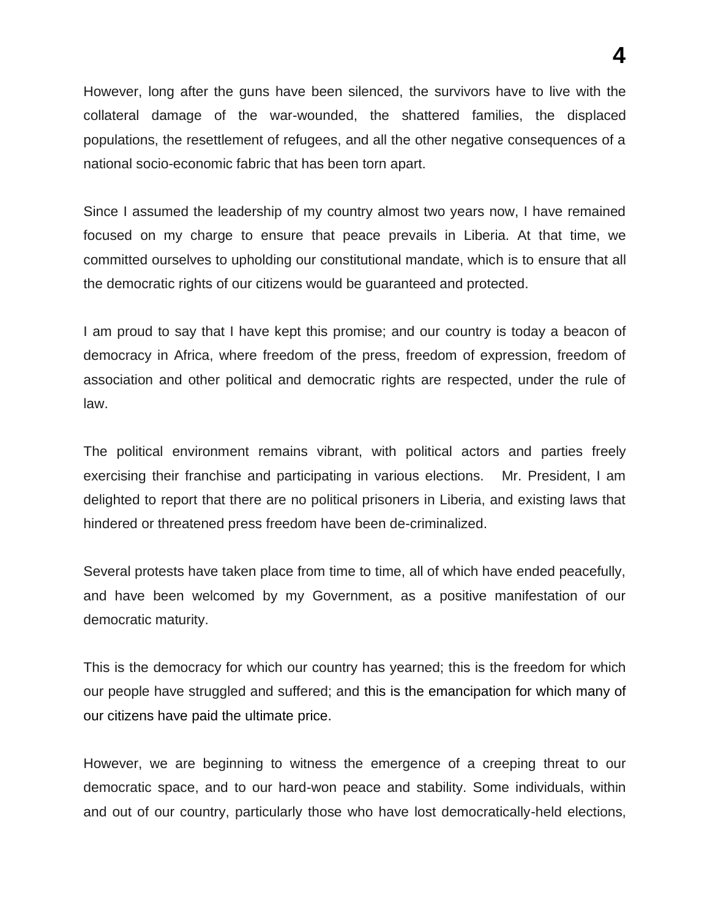However, long after the guns have been silenced, the survivors have to live with the collateral damage of the war-wounded, the shattered families, the displaced populations, the resettlement of refugees, and all the other negative consequences of a national socio-economic fabric that has been torn apart.

Since I assumed the leadership of my country almost two years now, I have remained focused on my charge to ensure that peace prevails in Liberia. At that time, we committed ourselves to upholding our constitutional mandate, which is to ensure that all the democratic rights of our citizens would be guaranteed and protected.

I am proud to say that I have kept this promise; and our country is today a beacon of democracy in Africa, where freedom of the press, freedom of expression, freedom of association and other political and democratic rights are respected, under the rule of law.

The political environment remains vibrant, with political actors and parties freely exercising their franchise and participating in various elections. Mr. President, I am delighted to report that there are no political prisoners in Liberia, and existing laws that hindered or threatened press freedom have been de-criminalized.

Several protests have taken place from time to time, all of which have ended peacefully, and have been welcomed by my Government, as a positive manifestation of our democratic maturity.

This is the democracy for which our country has yearned; this is the freedom for which our people have struggled and suffered; and this is the emancipation for which many of our citizens have paid the ultimate price.

However, we are beginning to witness the emergence of a creeping threat to our democratic space, and to our hard-won peace and stability. Some individuals, within and out of our country, particularly those who have lost democratically-held elections,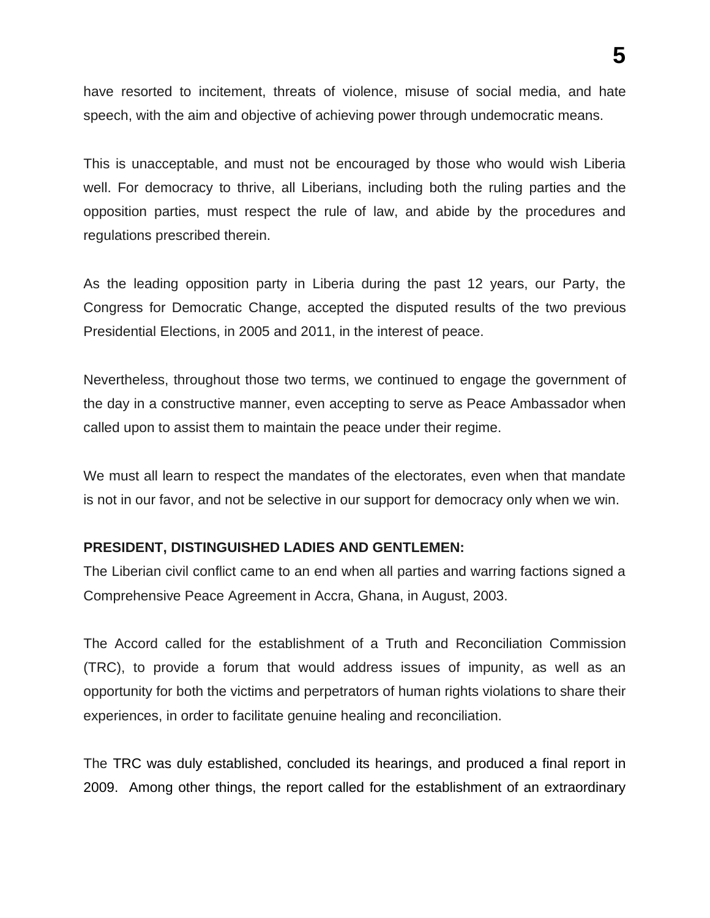have resorted to incitement, threats of violence, misuse of social media, and hate speech, with the aim and objective of achieving power through undemocratic means.

This is unacceptable, and must not be encouraged by those who would wish Liberia well. For democracy to thrive, all Liberians, including both the ruling parties and the opposition parties, must respect the rule of law, and abide by the procedures and regulations prescribed therein.

As the leading opposition party in Liberia during the past 12 years, our Party, the Congress for Democratic Change, accepted the disputed results of the two previous Presidential Elections, in 2005 and 2011, in the interest of peace.

Nevertheless, throughout those two terms, we continued to engage the government of the day in a constructive manner, even accepting to serve as Peace Ambassador when called upon to assist them to maintain the peace under their regime.

We must all learn to respect the mandates of the electorates, even when that mandate is not in our favor, and not be selective in our support for democracy only when we win.

# **PRESIDENT, DISTINGUISHED LADIES AND GENTLEMEN:**

The Liberian civil conflict came to an end when all parties and warring factions signed a Comprehensive Peace Agreement in Accra, Ghana, in August, 2003.

The Accord called for the establishment of a Truth and Reconciliation Commission (TRC), to provide a forum that would address issues of impunity, as well as an opportunity for both the victims and perpetrators of human rights violations to share their experiences, in order to facilitate genuine healing and reconciliation.

The TRC was duly established, concluded its hearings, and produced a final report in 2009. Among other things, the report called for the establishment of an extraordinary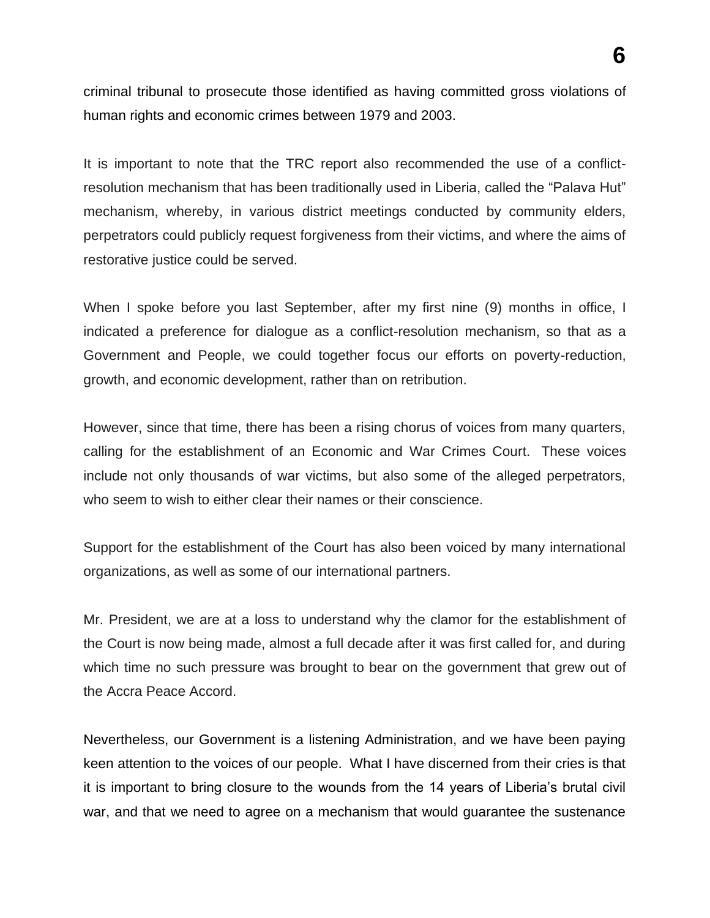criminal tribunal to prosecute those identified as having committed gross violations of human rights and economic crimes between 1979 and 2003.

It is important to note that the TRC report also recommended the use of a conflictresolution mechanism that has been traditionally used in Liberia, called the "Palava Hut" mechanism, whereby, in various district meetings conducted by community elders, perpetrators could publicly request forgiveness from their victims, and where the aims of restorative justice could be served.

When I spoke before you last September, after my first nine (9) months in office, I indicated a preference for dialogue as a conflict-resolution mechanism, so that as a Government and People, we could together focus our efforts on poverty-reduction, growth, and economic development, rather than on retribution.

However, since that time, there has been a rising chorus of voices from many quarters, calling for the establishment of an Economic and War Crimes Court. These voices include not only thousands of war victims, but also some of the alleged perpetrators, who seem to wish to either clear their names or their conscience.

Support for the establishment of the Court has also been voiced by many international organizations, as well as some of our international partners.

Mr. President, we are at a loss to understand why the clamor for the establishment of the Court is now being made, almost a full decade after it was first called for, and during which time no such pressure was brought to bear on the government that grew out of the Accra Peace Accord.

Nevertheless, our Government is a listening Administration, and we have been paying keen attention to the voices of our people. What I have discerned from their cries is that it is important to bring closure to the wounds from the 14 years of Liberia's brutal civil war, and that we need to agree on a mechanism that would guarantee the sustenance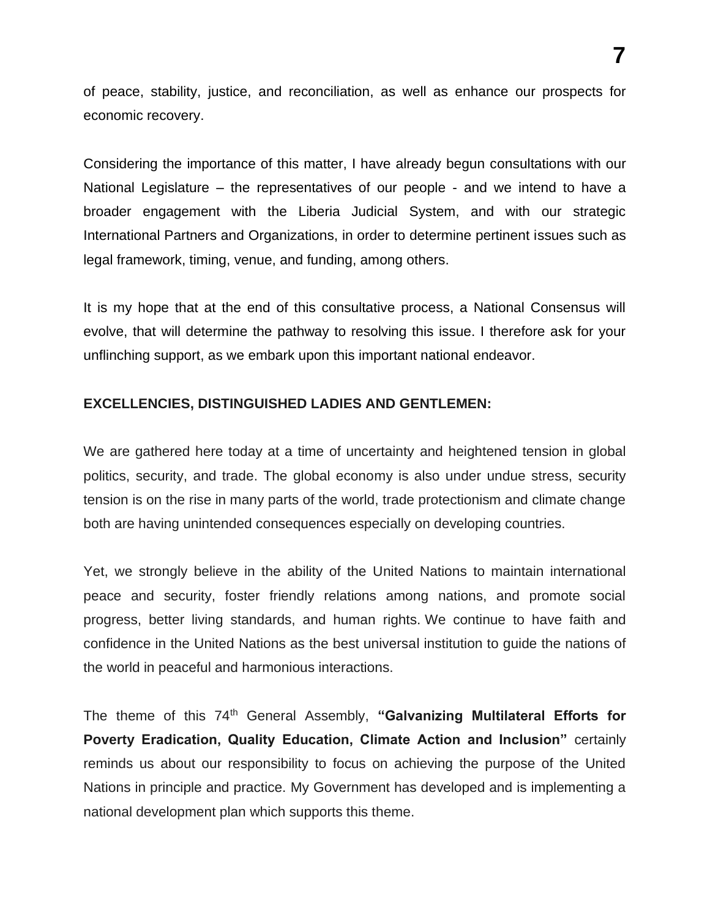of peace, stability, justice, and reconciliation, as well as enhance our prospects for economic recovery.

Considering the importance of this matter, I have already begun consultations with our National Legislature – the representatives of our people - and we intend to have a broader engagement with the Liberia Judicial System, and with our strategic International Partners and Organizations, in order to determine pertinent issues such as legal framework, timing, venue, and funding, among others.

It is my hope that at the end of this consultative process, a National Consensus will evolve, that will determine the pathway to resolving this issue. I therefore ask for your unflinching support, as we embark upon this important national endeavor.

## **EXCELLENCIES, DISTINGUISHED LADIES AND GENTLEMEN:**

We are gathered here today at a time of uncertainty and heightened tension in global politics, security, and trade. The global economy is also under undue stress, security tension is on the rise in many parts of the world, trade protectionism and climate change both are having unintended consequences especially on developing countries.

Yet, we strongly believe in the ability of the United Nations to maintain international peace and security, foster friendly relations among nations, and promote social progress, better living standards, and human rights. We continue to have faith and confidence in the United Nations as the best universal institution to guide the nations of the world in peaceful and harmonious interactions.

The theme of this 74<sup>th</sup> General Assembly, "Galvanizing Multilateral Efforts for **Poverty Eradication, Quality Education, Climate Action and Inclusion"** certainly reminds us about our responsibility to focus on achieving the purpose of the United Nations in principle and practice. My Government has developed and is implementing a national development plan which supports this theme.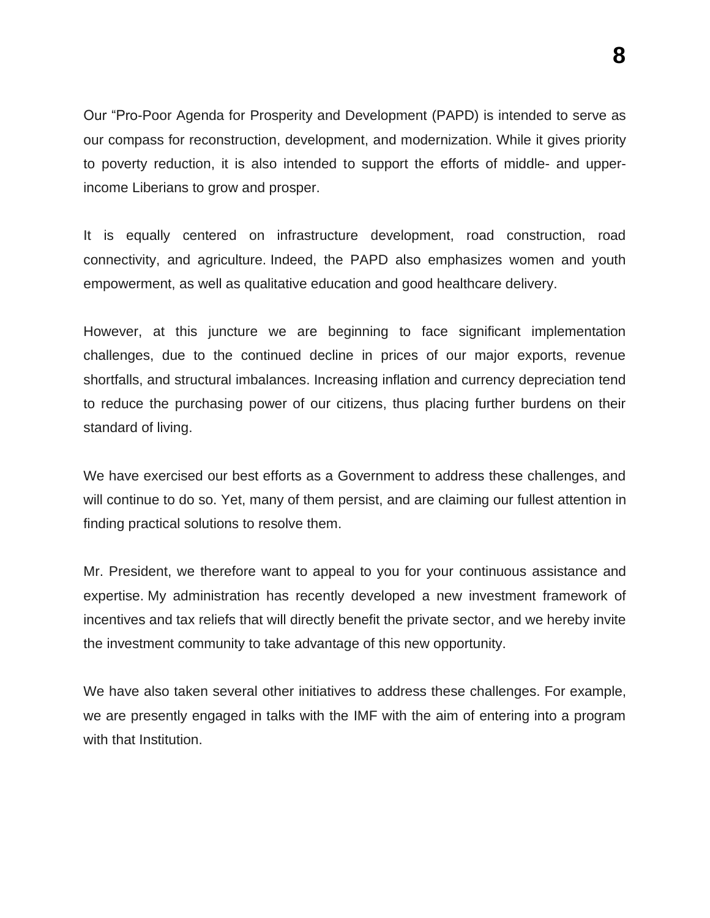Our "Pro-Poor Agenda for Prosperity and Development (PAPD) is intended to serve as our compass for reconstruction, development, and modernization. While it gives priority to poverty reduction, it is also intended to support the efforts of middle- and upperincome Liberians to grow and prosper.

It is equally centered on infrastructure development, road construction, road connectivity, and agriculture. Indeed, the PAPD also emphasizes women and youth empowerment, as well as qualitative education and good healthcare delivery.

However, at this juncture we are beginning to face significant implementation challenges, due to the continued decline in prices of our major exports, revenue shortfalls, and structural imbalances. Increasing inflation and currency depreciation tend to reduce the purchasing power of our citizens, thus placing further burdens on their standard of living.

We have exercised our best efforts as a Government to address these challenges, and will continue to do so. Yet, many of them persist, and are claiming our fullest attention in finding practical solutions to resolve them.

Mr. President, we therefore want to appeal to you for your continuous assistance and expertise. My administration has recently developed a new investment framework of incentives and tax reliefs that will directly benefit the private sector, and we hereby invite the investment community to take advantage of this new opportunity.

We have also taken several other initiatives to address these challenges. For example, we are presently engaged in talks with the IMF with the aim of entering into a program with that Institution.